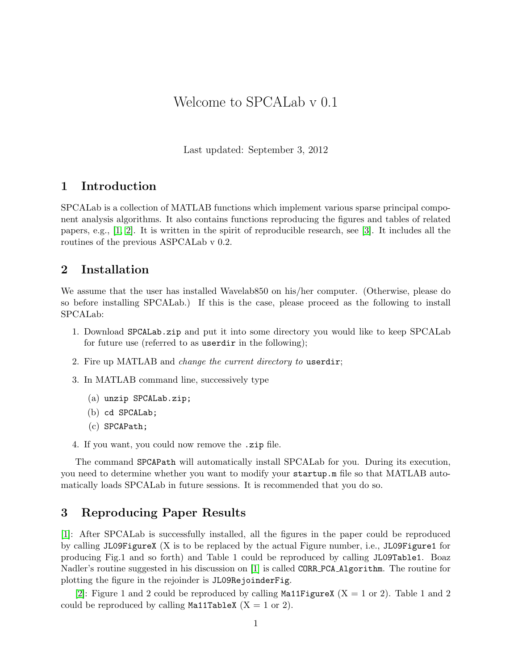## Welcome to SPCALab v 0.1

Last updated: September 3, 2012

### 1 Introduction

SPCALab is a collection of MATLAB functions which implement various sparse principal component analysis algorithms. It also contains functions reproducing the figures and tables of related papers, e.g., [\[1,](#page-1-0) [2\]](#page-1-1). It is written in the spirit of reproducible research, see [\[3\]](#page-1-2). It includes all the routines of the previous ASPCALab v 0.2.

#### 2 Installation

We assume that the user has installed Wavelab850 on his/her computer. (Otherwise, please do so before installing SPCALab.) If this is the case, please proceed as the following to install SPCALab:

- 1. Download SPCALab.zip and put it into some directory you would like to keep SPCALab for future use (referred to as userdir in the following);
- 2. Fire up MATLAB and change the current directory to userdir;
- 3. In MATLAB command line, successively type
	- (a) unzip SPCALab.zip;
	- (b) cd SPCALab;
	- (c) SPCAPath;
- 4. If you want, you could now remove the .zip file.

The command SPCAPath will automatically install SPCALab for you. During its execution, you need to determine whether you want to modify your startup.m file so that MATLAB automatically loads SPCALab in future sessions. It is recommended that you do so.

#### 3 Reproducing Paper Results

[\[1\]](#page-1-0): After SPCALab is successfully installed, all the figures in the paper could be reproduced by calling JL09FigureX (X is to be replaced by the actual Figure number, i.e., JL09Figure1 for producing Fig.1 and so forth) and Table 1 could be reproduced by calling JL09Table1. Boaz Nadler's routine suggested in his discussion on [\[1\]](#page-1-0) is called CORR PCA Algorithm. The routine for plotting the figure in the rejoinder is JL09RejoinderFig.

[\[2\]](#page-1-1): Figure 1 and 2 could be reproduced by calling Ma11FigureX  $(X = 1 \text{ or } 2)$ . Table 1 and 2 could be reproduced by calling Ma11TableX  $(X = 1 \text{ or } 2)$ .